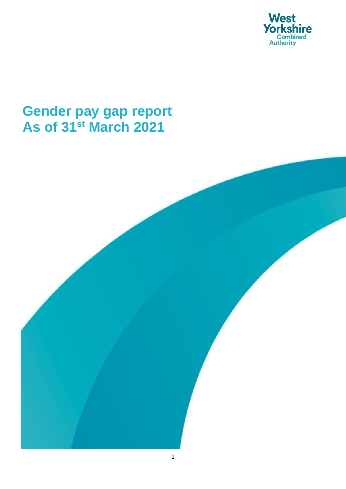

## **Gender pay gap report As of 31st March 2021**

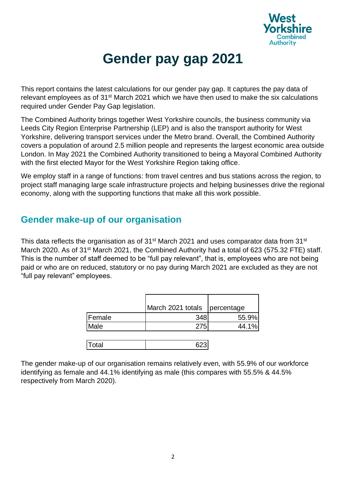

# **Gender pay gap 2021**

This report contains the latest calculations for our gender pay gap. It captures the pay data of relevant employees as of 31st March 2021 which we have then used to make the six calculations required under Gender Pay Gap legislation.

The Combined Authority brings together West Yorkshire councils, the business community via Leeds City Region Enterprise Partnership (LEP) and is also the transport authority for West Yorkshire, delivering transport services under the Metro brand. Overall, the Combined Authority covers a population of around 2.5 million people and represents the largest economic area outside London. In May 2021 the Combined Authority transitioned to being a Mayoral Combined Authority with the first elected Mayor for the West Yorkshire Region taking office.

We employ staff in a range of functions: from travel centres and bus stations across the region, to project staff managing large scale infrastructure projects and helping businesses drive the regional economy, along with the supporting functions that make all this work possible.

#### **Gender make-up of our organisation**

This data reflects the organisation as of  $31<sup>st</sup>$  March 2021 and uses comparator data from  $31<sup>st</sup>$ March 2020. As of 31<sup>st</sup> March 2021, the Combined Authority had a total of 623 (575.32 FTE) staff. This is the number of staff deemed to be "full pay relevant", that is, employees who are not being paid or who are on reduced, statutory or no pay during March 2021 are excluded as they are not "full pay relevant" employees.

|        | March 2021 totals percentage |       |
|--------|------------------------------|-------|
| Female | 348                          | 55.9% |
| Male   | 275                          | 44.1% |
|        |                              |       |
| Total  |                              |       |

The gender make-up of our organisation remains relatively even, with 55.9% of our workforce identifying as female and 44.1% identifying as male (this compares with 55.5% & 44.5% respectively from March 2020).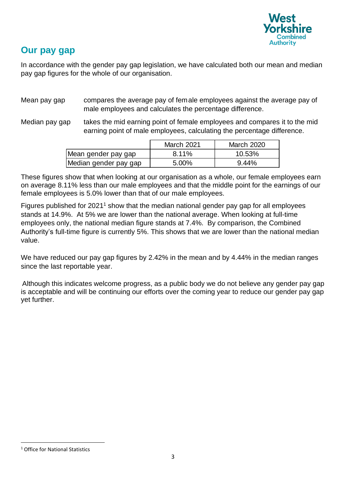

#### **Our pay gap**

In accordance with the gender pay gap legislation, we have calculated both our mean and median pay gap figures for the whole of our organisation.

- Mean pay gap compares the average pay of female employees against the average pay of male employees and calculates the percentage difference.
- Median pay gap takes the mid earning point of female employees and compares it to the mid earning point of male employees, calculating the percentage difference.

|                       | <b>March 2021</b> | <b>March 2020</b> |
|-----------------------|-------------------|-------------------|
| Mean gender pay gap   | 8.11%             | 10.53%            |
| Median gender pay gap | 5.00%             | 9.44%             |

These figures show that when looking at our organisation as a whole, our female employees earn on average 8.11% less than our male employees and that the middle point for the earnings of our female employees is 5.0% lower than that of our male employees.

Figures published for 2021<sup>1</sup> show that the median national gender pay gap for all employees stands at 14.9%. At 5% we are lower than the national average. When looking at full-time employees only, the national median figure stands at 7.4%. By comparison, the Combined Authority's full-time figure is currently 5%. This shows that we are lower than the national median value. March 2021 March 2021 March 2021<br>
IMedian gender pay gap<br>
IMedian gender pay gap<br>
These figures show that when looking at our organisation as a whole, our fermal<br>
fermale employees is 5.0% lower than that of our male empl

We have reduced our pay gap figures by 2.42% in the mean and by 4.44% in the median ranges since the last reportable year.

Although this indicates welcome progress, as a public body we do not believe any gender pay gap is acceptable and will be continuing our efforts over the coming year to reduce our gender pay gap yet further.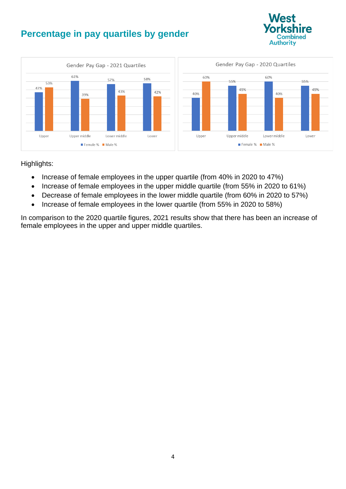### **Percentage in pay quartiles by gender**





Highlights:

- Increase of female employees in the upper quartile (from 40% in 2020 to 47%)
- Increase of female employees in the upper middle quartile (from 55% in 2020 to 61%)
- Decrease of female employees in the lower middle quartile (from 60% in 2020 to 57%)
- Increase of female employees in the lower quartile (from 55% in 2020 to 58%)

In comparison to the 2020 quartile figures, 2021 results show that there has been an increase of female employees in the upper and upper middle quartiles.